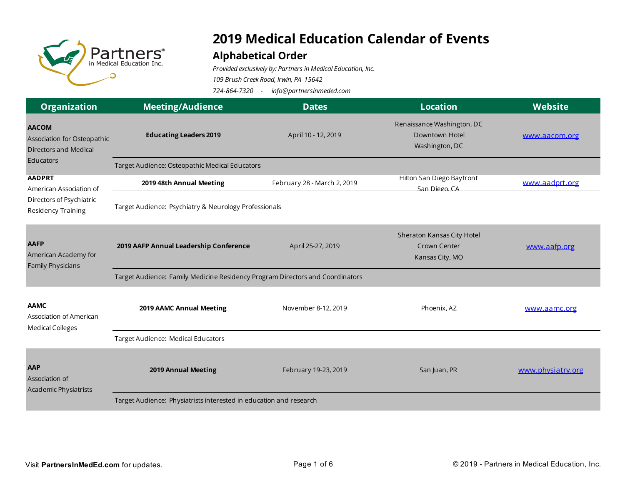

## **2019 Medical Education Calendar of Events**

## **Alphabetical Order**

*Provided exclusively by: Partners in Medical Education, Inc.*

*109 Brush Creek Road, Irwin, PA 15642*

*724-864-7320 - info@partnersinmeded.com*

| <b>Organization</b>                                                                        | <b>Meeting/Audience</b>                                                       | <b>Dates</b>                | <b>Location</b>                                                | Website           |  |
|--------------------------------------------------------------------------------------------|-------------------------------------------------------------------------------|-----------------------------|----------------------------------------------------------------|-------------------|--|
| <b>AACOM</b><br>Association for Osteopathic<br><b>Directors and Medical</b><br>Educators   | <b>Educating Leaders 2019</b>                                                 | April 10 - 12, 2019         | Renaissance Washington, DC<br>Downtown Hotel<br>Washington, DC | www.aacom.org     |  |
|                                                                                            | Target Audience: Osteopathic Medical Educators                                |                             |                                                                |                   |  |
| <b>AADPRT</b><br>American Association of<br>Directors of Psychiatric<br>Residency Training | 2019 48th Annual Meeting                                                      | February 28 - March 2, 2019 | Hilton San Diego Bayfront<br>San Diego CA                      | www.aadprt.org    |  |
|                                                                                            | Target Audience: Psychiatry & Neurology Professionals                         |                             |                                                                |                   |  |
| <b>AAFP</b><br>American Academy for<br>Family Physicians                                   | 2019 AAFP Annual Leadership Conference                                        | April 25-27, 2019           | Sheraton Kansas City Hotel<br>Crown Center<br>Kansas City, MO  | www.aafp.org      |  |
|                                                                                            | Target Audience: Family Medicine Residency Program Directors and Coordinators |                             |                                                                |                   |  |
| <b>AAMC</b><br>Association of American<br><b>Medical Colleges</b>                          | 2019 AAMC Annual Meeting                                                      | November 8-12, 2019         | Phoenix, AZ                                                    | www.aamc.org      |  |
|                                                                                            | Target Audience: Medical Educators                                            |                             |                                                                |                   |  |
| <b>AAP</b><br>Association of<br>Academic Physiatrists                                      | 2019 Annual Meeting                                                           | February 19-23, 2019        | San Juan, PR                                                   | www.physiatry.org |  |
|                                                                                            | Target Audience: Physiatrists interested in education and research            |                             |                                                                |                   |  |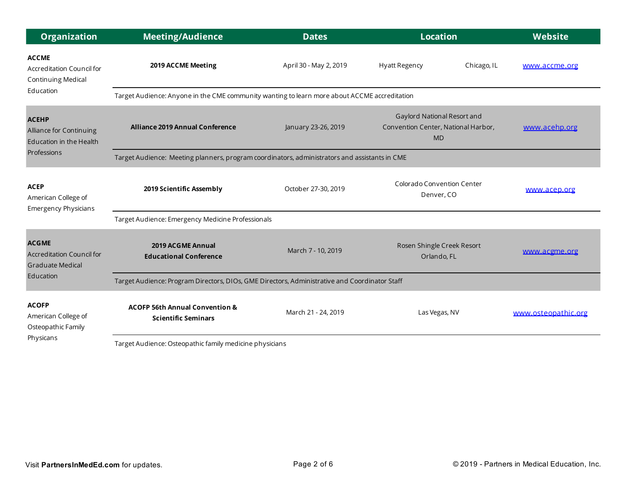| <b>Organization</b>                                                                      | <b>Meeting/Audience</b>                                                                       | <b>Dates</b>           | <b>Location</b>                                                                 |             | <b>Website</b>      |
|------------------------------------------------------------------------------------------|-----------------------------------------------------------------------------------------------|------------------------|---------------------------------------------------------------------------------|-------------|---------------------|
| <b>ACCME</b><br>Accreditation Council for<br>Continuing Medical<br>Education             | 2019 ACCME Meeting                                                                            | April 30 - May 2, 2019 | <b>Hyatt Regency</b>                                                            | Chicago, IL | www.accme.org       |
|                                                                                          | Target Audience: Anyone in the CME community wanting to learn more about ACCME accreditation  |                        |                                                                                 |             |                     |
| <b>ACEHP</b><br>Alliance for Continuing<br><b>Education in the Health</b><br>Professions | <b>Alliance 2019 Annual Conference</b>                                                        | January 23-26, 2019    | Gaylord National Resort and<br>Convention Center, National Harbor,<br><b>MD</b> |             | www.acehp.org       |
|                                                                                          | Target Audience: Meeting planners, program coordinators, administrators and assistants in CME |                        |                                                                                 |             |                     |
| <b>ACEP</b><br>American College of<br><b>Emergency Physicians</b>                        | 2019 Scientific Assembly                                                                      | October 27-30, 2019    | Colorado Convention Center<br>Denver, CO                                        |             | www.acep.org        |
|                                                                                          | Target Audience: Emergency Medicine Professionals                                             |                        |                                                                                 |             |                     |
| <b>ACGME</b><br>Accreditation Council for<br><b>Graduate Medical</b><br>Education        | 2019 ACGME Annual<br><b>Educational Conference</b>                                            | March 7 - 10, 2019     | Rosen Shingle Creek Resort<br>Orlando, FL                                       |             | www.acgme.org       |
|                                                                                          | Target Audience: Program Directors, DIOs, GME Directors, Administrative and Coordinator Staff |                        |                                                                                 |             |                     |
| <b>ACOFP</b><br>American College of<br>Osteopathic Family<br>Physicans                   | <b>ACOFP 56th Annual Convention &amp;</b><br><b>Scientific Seminars</b>                       | March 21 - 24, 2019    | Las Vegas, NV                                                                   |             | www.osteopathic.org |
|                                                                                          | Target Audience: Osteopathic family medicine physicians                                       |                        |                                                                                 |             |                     |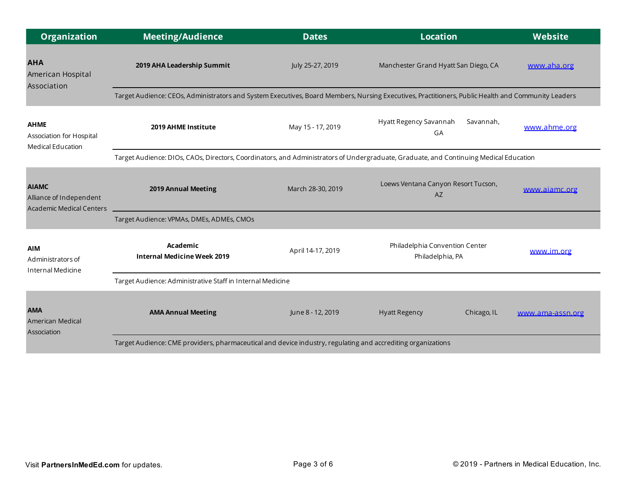| <b>Organization</b>                                                        | <b>Meeting/Audience</b>                                                                                                                            | <b>Dates</b>      | <b>Location</b>                                    | Website          |  |  |
|----------------------------------------------------------------------------|----------------------------------------------------------------------------------------------------------------------------------------------------|-------------------|----------------------------------------------------|------------------|--|--|
| <b>AHA</b><br>American Hospital<br>Association                             | 2019 AHA Leadership Summit                                                                                                                         | July 25-27, 2019  | Manchester Grand Hyatt San Diego, CA               | www.aha.org      |  |  |
|                                                                            | Target Audience: CEOs, Administrators and System Executives, Board Members, Nursing Executives, Practitioners, Public Health and Community Leaders |                   |                                                    |                  |  |  |
| <b>AHME</b><br>Association for Hospital<br>Medical Education               | 2019 AHME Institute                                                                                                                                | May 15 - 17, 2019 | Hyatt Regency Savannah<br>Savannah,<br>GA          | www.ahme.org     |  |  |
|                                                                            | Target Audience: DIOs, CAOs, Directors, Coordinators, and Administrators of Undergraduate, Graduate, and Continuing Medical Education              |                   |                                                    |                  |  |  |
| <b>AIAMC</b><br>Alliance of Independent<br><b>Academic Medical Centers</b> | 2019 Annual Meeting                                                                                                                                | March 28-30, 2019 | Loews Ventana Canyon Resort Tucson,<br><b>AZ</b>   | www.aiamc.org    |  |  |
|                                                                            | Target Audience: VPMAs, DMEs, ADMEs, CMOs                                                                                                          |                   |                                                    |                  |  |  |
| <b>AIM</b><br>Administrators of<br>Internal Medicine                       | Academic<br><b>Internal Medicine Week 2019</b>                                                                                                     | April 14-17, 2019 | Philadelphia Convention Center<br>Philadelphia, PA | www.im.org       |  |  |
|                                                                            | Target Audience: Administrative Staff in Internal Medicine                                                                                         |                   |                                                    |                  |  |  |
| <b>AMA</b><br>American Medical<br>Association                              | <b>AMA Annual Meeting</b>                                                                                                                          | June 8 - 12, 2019 | <b>Hyatt Regency</b><br>Chicago, IL                | www.ama-assn.org |  |  |
|                                                                            | Target Audience: CME providers, pharmaceutical and device industry, regulating and accrediting organizations                                       |                   |                                                    |                  |  |  |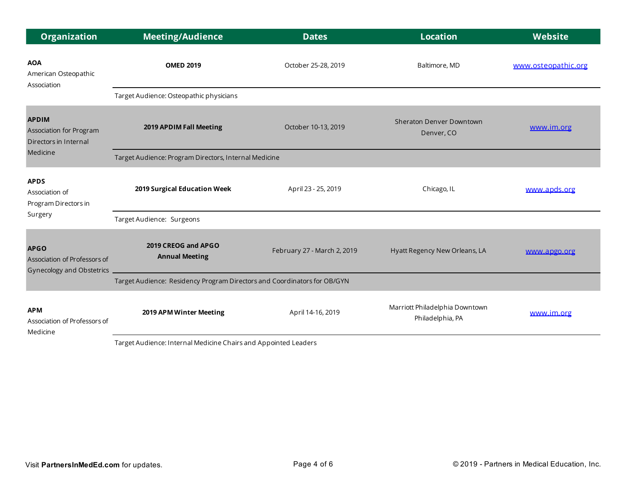| <b>Organization</b>                                                          | <b>Meeting/Audience</b>                                                  | <b>Dates</b>                | <b>Location</b>                                    | Website             |  |
|------------------------------------------------------------------------------|--------------------------------------------------------------------------|-----------------------------|----------------------------------------------------|---------------------|--|
| <b>AOA</b><br>American Osteopathic<br>Association                            | <b>OMED 2019</b>                                                         | October 25-28, 2019         | Baltimore, MD                                      | www.osteopathic.org |  |
|                                                                              | Target Audience: Osteopathic physicians                                  |                             |                                                    |                     |  |
| <b>APDIM</b><br>Association for Program<br>Directors in Internal<br>Medicine | 2019 APDIM Fall Meeting                                                  | October 10-13, 2019         | Sheraton Denver Downtown<br>Denver, CO             | www.im.org          |  |
|                                                                              | Target Audience: Program Directors, Internal Medicine                    |                             |                                                    |                     |  |
| <b>APDS</b><br>Association of<br>Program Directors in                        | 2019 Surgical Education Week                                             | April 23 - 25, 2019         | Chicago, IL                                        | www.apds.org        |  |
| Surgery                                                                      | Target Audience: Surgeons                                                |                             |                                                    |                     |  |
| <b>APGO</b><br>Association of Professors of<br>Gynecology and Obstetrics _   | 2019 CREOG and APGO<br><b>Annual Meeting</b>                             | February 27 - March 2, 2019 | Hyatt Regency New Orleans, LA                      | www.apgo.org        |  |
|                                                                              | Target Audience: Residency Program Directors and Coordinators for OB/GYN |                             |                                                    |                     |  |
| <b>APM</b><br>Association of Professors of<br>Medicine                       | 2019 APM Winter Meeting                                                  | April 14-16, 2019           | Marriott Philadelphia Downtown<br>Philadelphia, PA | www.im.org          |  |

Target Audience: Internal Medicine Chairs and Appointed Leaders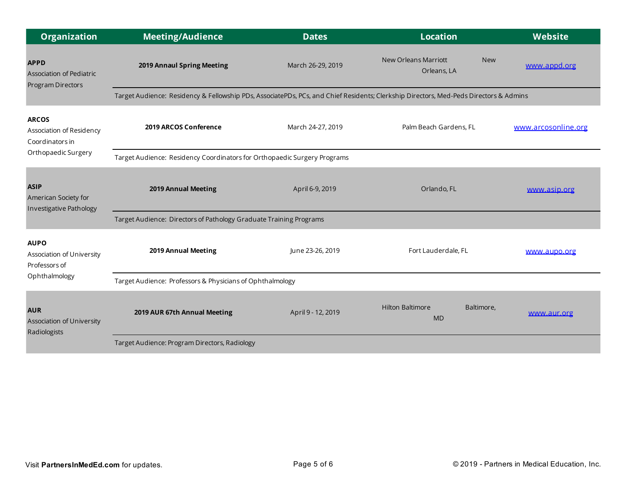| <b>Organization</b>                                                   | <b>Meeting/Audience</b>                                                                                                               | <b>Dates</b>       | <b>Location</b>                                          | <b>Website</b>      |  |  |
|-----------------------------------------------------------------------|---------------------------------------------------------------------------------------------------------------------------------------|--------------------|----------------------------------------------------------|---------------------|--|--|
| <b>APPD</b><br><b>Association of Pediatric</b><br>Program Directors   | 2019 Annaul Spring Meeting                                                                                                            | March 26-29, 2019  | <b>New Orleans Marriott</b><br><b>New</b><br>Orleans, LA | www.appd.org        |  |  |
|                                                                       | Target Audience: Residency & Fellowship PDs, AssociatePDs, PCs, and Chief Residents; Clerkship Directors, Med-Peds Directors & Admins |                    |                                                          |                     |  |  |
| <b>ARCOS</b><br>Association of Residency<br>Coordinators in           | 2019 ARCOS Conference                                                                                                                 | March 24-27, 2019  | Palm Beach Gardens, FL                                   | www.arcosonline.org |  |  |
| Orthopaedic Surgery                                                   | Target Audience: Residency Coordinators for Orthopaedic Surgery Programs                                                              |                    |                                                          |                     |  |  |
| <b>ASIP</b><br>American Society for<br><b>Investigative Pathology</b> | 2019 Annual Meeting                                                                                                                   | April 6-9, 2019    | Orlando, FL                                              | www.asip.org        |  |  |
|                                                                       | Target Audience: Directors of Pathology Graduate Training Programs                                                                    |                    |                                                          |                     |  |  |
| <b>AUPO</b><br>Association of University<br>Professors of             | 2019 Annual Meeting                                                                                                                   | June 23-26, 2019   | Fort Lauderdale, FL                                      | www.aupo.org        |  |  |
| Ophthalmology                                                         | Target Audience: Professors & Physicians of Ophthalmology                                                                             |                    |                                                          |                     |  |  |
| <b>AUR</b><br>Association of University<br>Radiologists               | 2019 AUR 67th Annual Meeting                                                                                                          | April 9 - 12, 2019 | <b>Hilton Baltimore</b><br>Baltimore,<br><b>MD</b>       | www.aur.org         |  |  |
|                                                                       | Target Audience: Program Directors, Radiology                                                                                         |                    |                                                          |                     |  |  |